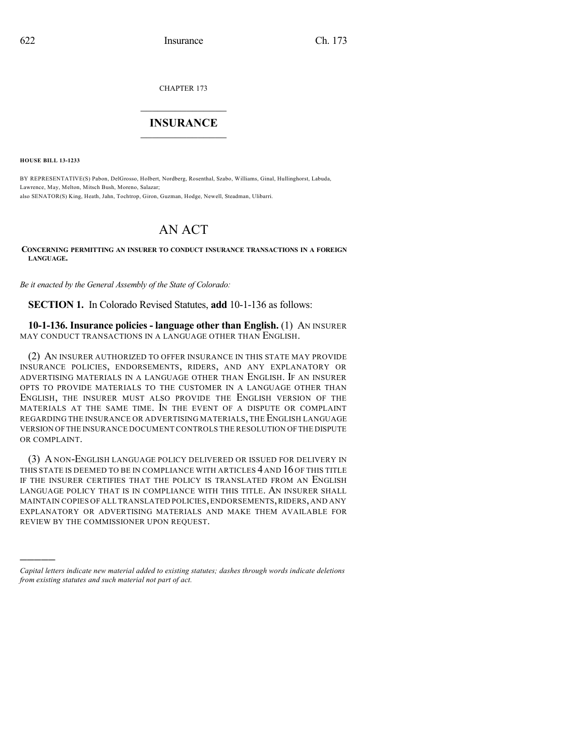CHAPTER 173

## $\overline{\phantom{a}}$  . The set of the set of the set of the set of the set of the set of the set of the set of the set of the set of the set of the set of the set of the set of the set of the set of the set of the set of the set o **INSURANCE**  $\frac{1}{2}$  ,  $\frac{1}{2}$  ,  $\frac{1}{2}$  ,  $\frac{1}{2}$  ,  $\frac{1}{2}$  ,  $\frac{1}{2}$  ,  $\frac{1}{2}$

**HOUSE BILL 13-1233**

)))))

BY REPRESENTATIVE(S) Pabon, DelGrosso, Holbert, Nordberg, Rosenthal, Szabo, Williams, Ginal, Hullinghorst, Labuda, Lawrence, May, Melton, Mitsch Bush, Moreno, Salazar; also SENATOR(S) King, Heath, Jahn, Tochtrop, Giron, Guzman, Hodge, Newell, Steadman, Ulibarri.

## AN ACT

**CONCERNING PERMITTING AN INSURER TO CONDUCT INSURANCE TRANSACTIONS IN A FOREIGN LANGUAGE.**

*Be it enacted by the General Assembly of the State of Colorado:*

**SECTION 1.** In Colorado Revised Statutes, **add** 10-1-136 as follows:

**10-1-136. Insurance policies - language other than English.** (1) AN INSURER MAY CONDUCT TRANSACTIONS IN A LANGUAGE OTHER THAN ENGLISH.

(2) AN INSURER AUTHORIZED TO OFFER INSURANCE IN THIS STATE MAY PROVIDE INSURANCE POLICIES, ENDORSEMENTS, RIDERS, AND ANY EXPLANATORY OR ADVERTISING MATERIALS IN A LANGUAGE OTHER THAN ENGLISH. IF AN INSURER OPTS TO PROVIDE MATERIALS TO THE CUSTOMER IN A LANGUAGE OTHER THAN ENGLISH, THE INSURER MUST ALSO PROVIDE THE ENGLISH VERSION OF THE MATERIALS AT THE SAME TIME. IN THE EVENT OF A DISPUTE OR COMPLAINT REGARDING THE INSURANCE OR ADVERTISING MATERIALS, THE ENGLISH LANGUAGE VERSION OFTHE INSURANCE DOCUMENT CONTROLS THE RESOLUTION OFTHE DISPUTE OR COMPLAINT.

(3) A NON-ENGLISH LANGUAGE POLICY DELIVERED OR ISSUED FOR DELIVERY IN THIS STATE IS DEEMED TO BE IN COMPLIANCE WITH ARTICLES 4 AND 16 OF THIS TITLE IF THE INSURER CERTIFIES THAT THE POLICY IS TRANSLATED FROM AN ENGLISH LANGUAGE POLICY THAT IS IN COMPLIANCE WITH THIS TITLE. AN INSURER SHALL MAINTAIN COPIES OF ALL TRANSLATED POLICIES,ENDORSEMENTS,RIDERS, AND ANY EXPLANATORY OR ADVERTISING MATERIALS AND MAKE THEM AVAILABLE FOR REVIEW BY THE COMMISSIONER UPON REQUEST.

*Capital letters indicate new material added to existing statutes; dashes through words indicate deletions from existing statutes and such material not part of act.*